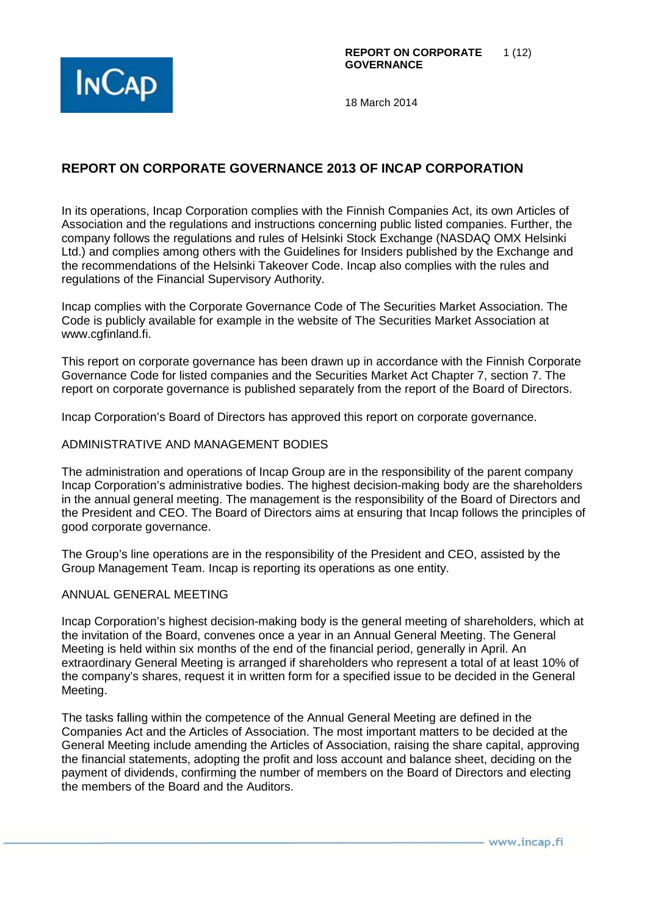

# **REPORT ON CORPORATE GOVERNANCE 2013 OF INCAP CORPORATION**

In its operations, Incap Corporation complies with the Finnish Companies Act, its own Articles of Association and the regulations and instructions concerning public listed companies. Further, the company follows the regulations and rules of Helsinki Stock Exchange (NASDAQ OMX Helsinki Ltd.) and complies among others with the Guidelines for Insiders published by the Exchange and the recommendations of the Helsinki Takeover Code. Incap also complies with the rules and regulations of the Financial Supervisory Authority.

Incap complies with the Corporate Governance Code of The Securities Market Association. The Code is publicly available for example in the website of The Securities Market Association at www.cgfinland.fi.

This report on corporate governance has been drawn up in accordance with the Finnish Corporate Governance Code for listed companies and the Securities Market Act Chapter 7, section 7. The report on corporate governance is published separately from the report of the Board of Directors.

Incap Corporation's Board of Directors has approved this report on corporate governance.

#### ADMINISTRATIVE AND MANAGEMENT BODIES

The administration and operations of Incap Group are in the responsibility of the parent company Incap Corporation's administrative bodies. The highest decision-making body are the shareholders in the annual general meeting. The management is the responsibility of the Board of Directors and the President and CEO. The Board of Directors aims at ensuring that Incap follows the principles of good corporate governance.

The Group's line operations are in the responsibility of the President and CEO, assisted by the Group Management Team. Incap is reporting its operations as one entity.

#### ANNUAL GENERAL MEETING

Incap Corporation's highest decision-making body is the general meeting of shareholders, which at the invitation of the Board, convenes once a year in an Annual General Meeting. The General Meeting is held within six months of the end of the financial period, generally in April. An extraordinary General Meeting is arranged if shareholders who represent a total of at least 10% of the company's shares, request it in written form for a specified issue to be decided in the General Meeting.

The tasks falling within the competence of the Annual General Meeting are defined in the Companies Act and the Articles of Association. The most important matters to be decided at the General Meeting include amending the Articles of Association, raising the share capital, approving the financial statements, adopting the profit and loss account and balance sheet, deciding on the payment of dividends, confirming the number of members on the Board of Directors and electing the members of the Board and the Auditors.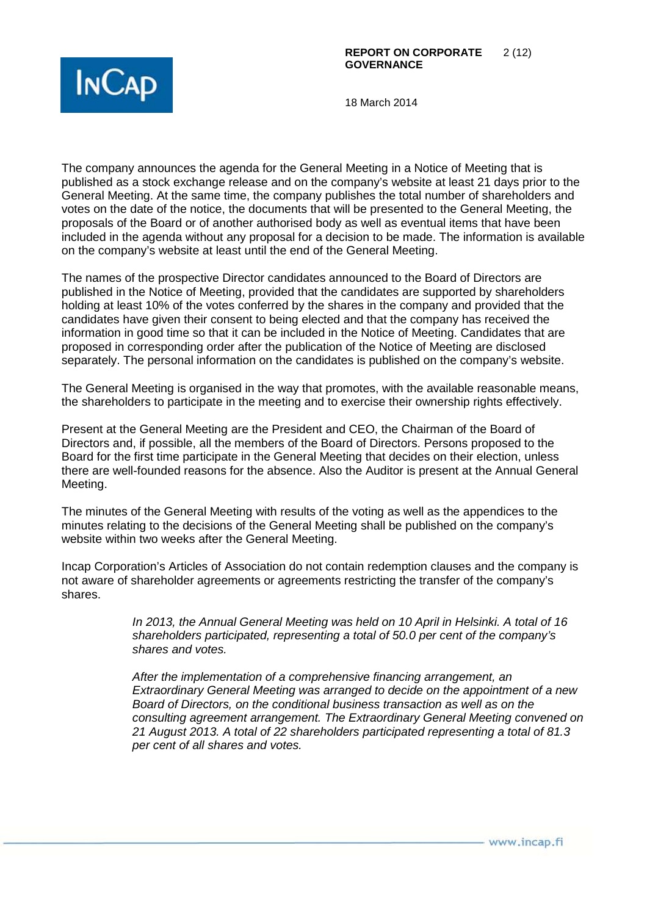

The company announces the agenda for the General Meeting in a Notice of Meeting that is published as a stock exchange release and on the company's website at least 21 days prior to the General Meeting. At the same time, the company publishes the total number of shareholders and votes on the date of the notice, the documents that will be presented to the General Meeting, the proposals of the Board or of another authorised body as well as eventual items that have been included in the agenda without any proposal for a decision to be made. The information is available on the company's website at least until the end of the General Meeting.

The names of the prospective Director candidates announced to the Board of Directors are published in the Notice of Meeting, provided that the candidates are supported by shareholders holding at least 10% of the votes conferred by the shares in the company and provided that the candidates have given their consent to being elected and that the company has received the information in good time so that it can be included in the Notice of Meeting. Candidates that are proposed in corresponding order after the publication of the Notice of Meeting are disclosed separately. The personal information on the candidates is published on the company's website.

The General Meeting is organised in the way that promotes, with the available reasonable means, the shareholders to participate in the meeting and to exercise their ownership rights effectively.

Present at the General Meeting are the President and CEO, the Chairman of the Board of Directors and, if possible, all the members of the Board of Directors. Persons proposed to the Board for the first time participate in the General Meeting that decides on their election, unless there are well-founded reasons for the absence. Also the Auditor is present at the Annual General Meeting.

The minutes of the General Meeting with results of the voting as well as the appendices to the minutes relating to the decisions of the General Meeting shall be published on the company's website within two weeks after the General Meeting.

Incap Corporation's Articles of Association do not contain redemption clauses and the company is not aware of shareholder agreements or agreements restricting the transfer of the company's shares.

> In 2013, the Annual General Meeting was held on 10 April in Helsinki. A total of 16 shareholders participated, representing a total of 50.0 per cent of the company's shares and votes.

After the implementation of a comprehensive financing arrangement, an Extraordinary General Meeting was arranged to decide on the appointment of a new Board of Directors, on the conditional business transaction as well as on the consulting agreement arrangement. The Extraordinary General Meeting convened on 21 August 2013. A total of 22 shareholders participated representing a total of 81.3 per cent of all shares and votes.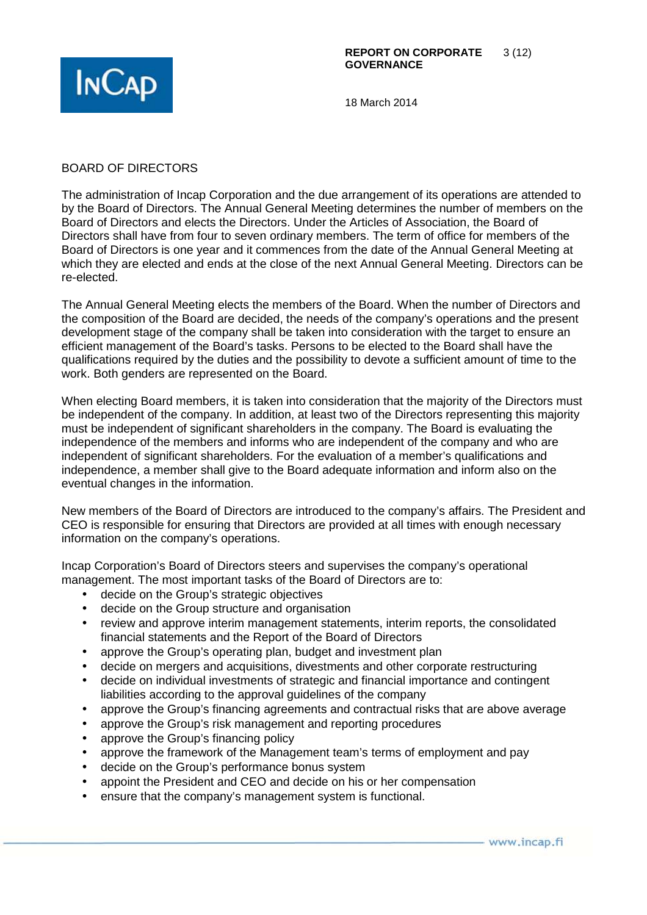

### BOARD OF DIRECTORS

The administration of Incap Corporation and the due arrangement of its operations are attended to by the Board of Directors. The Annual General Meeting determines the number of members on the Board of Directors and elects the Directors. Under the Articles of Association, the Board of Directors shall have from four to seven ordinary members. The term of office for members of the Board of Directors is one year and it commences from the date of the Annual General Meeting at which they are elected and ends at the close of the next Annual General Meeting. Directors can be re-elected.

The Annual General Meeting elects the members of the Board. When the number of Directors and the composition of the Board are decided, the needs of the company's operations and the present development stage of the company shall be taken into consideration with the target to ensure an efficient management of the Board's tasks. Persons to be elected to the Board shall have the qualifications required by the duties and the possibility to devote a sufficient amount of time to the work. Both genders are represented on the Board.

When electing Board members, it is taken into consideration that the majority of the Directors must be independent of the company. In addition, at least two of the Directors representing this majority must be independent of significant shareholders in the company. The Board is evaluating the independence of the members and informs who are independent of the company and who are independent of significant shareholders. For the evaluation of a member's qualifications and independence, a member shall give to the Board adequate information and inform also on the eventual changes in the information.

New members of the Board of Directors are introduced to the company's affairs. The President and CEO is responsible for ensuring that Directors are provided at all times with enough necessary information on the company's operations.

Incap Corporation's Board of Directors steers and supervises the company's operational management. The most important tasks of the Board of Directors are to:

- decide on the Group's strategic objectives
- decide on the Group structure and organisation
- review and approve interim management statements, interim reports, the consolidated financial statements and the Report of the Board of Directors
- approve the Group's operating plan, budget and investment plan
- decide on mergers and acquisitions, divestments and other corporate restructuring
- decide on individual investments of strategic and financial importance and contingent liabilities according to the approval guidelines of the company
- approve the Group's financing agreements and contractual risks that are above average
- approve the Group's risk management and reporting procedures
- approve the Group's financing policy
- approve the framework of the Management team's terms of employment and pay
- decide on the Group's performance bonus system
- appoint the President and CEO and decide on his or her compensation
- ensure that the company's management system is functional.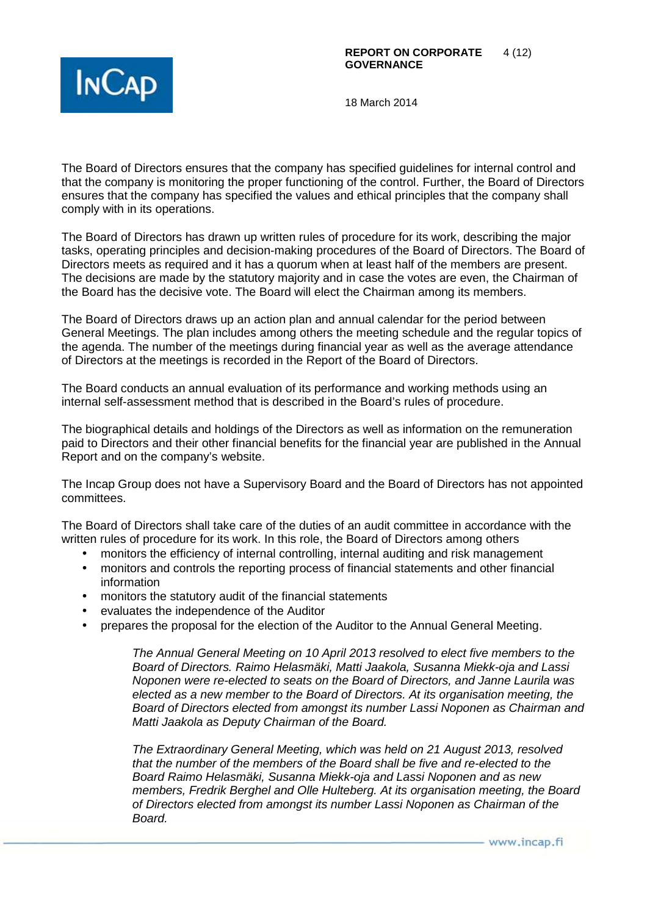

The Board of Directors ensures that the company has specified guidelines for internal control and that the company is monitoring the proper functioning of the control. Further, the Board of Directors ensures that the company has specified the values and ethical principles that the company shall comply with in its operations.

The Board of Directors has drawn up written rules of procedure for its work, describing the major tasks, operating principles and decision-making procedures of the Board of Directors. The Board of Directors meets as required and it has a quorum when at least half of the members are present. The decisions are made by the statutory majority and in case the votes are even, the Chairman of the Board has the decisive vote. The Board will elect the Chairman among its members.

The Board of Directors draws up an action plan and annual calendar for the period between General Meetings. The plan includes among others the meeting schedule and the regular topics of the agenda. The number of the meetings during financial year as well as the average attendance of Directors at the meetings is recorded in the Report of the Board of Directors.

The Board conducts an annual evaluation of its performance and working methods using an internal self-assessment method that is described in the Board's rules of procedure.

The biographical details and holdings of the Directors as well as information on the remuneration paid to Directors and their other financial benefits for the financial year are published in the Annual Report and on the company's website.

The Incap Group does not have a Supervisory Board and the Board of Directors has not appointed committees.

The Board of Directors shall take care of the duties of an audit committee in accordance with the written rules of procedure for its work. In this role, the Board of Directors among others

- monitors the efficiency of internal controlling, internal auditing and risk management
- monitors and controls the reporting process of financial statements and other financial information
- monitors the statutory audit of the financial statements
- evaluates the independence of the Auditor
- prepares the proposal for the election of the Auditor to the Annual General Meeting.

The Annual General Meeting on 10 April 2013 resolved to elect five members to the Board of Directors. Raimo Helasmäki, Matti Jaakola, Susanna Miekk-oja and Lassi Noponen were re-elected to seats on the Board of Directors, and Janne Laurila was elected as a new member to the Board of Directors. At its organisation meeting, the Board of Directors elected from amongst its number Lassi Noponen as Chairman and Matti Jaakola as Deputy Chairman of the Board.

The Extraordinary General Meeting, which was held on 21 August 2013, resolved that the number of the members of the Board shall be five and re-elected to the Board Raimo Helasmäki, Susanna Miekk-oja and Lassi Noponen and as new members, Fredrik Berghel and Olle Hulteberg. At its organisation meeting, the Board of Directors elected from amongst its number Lassi Noponen as Chairman of the **Board**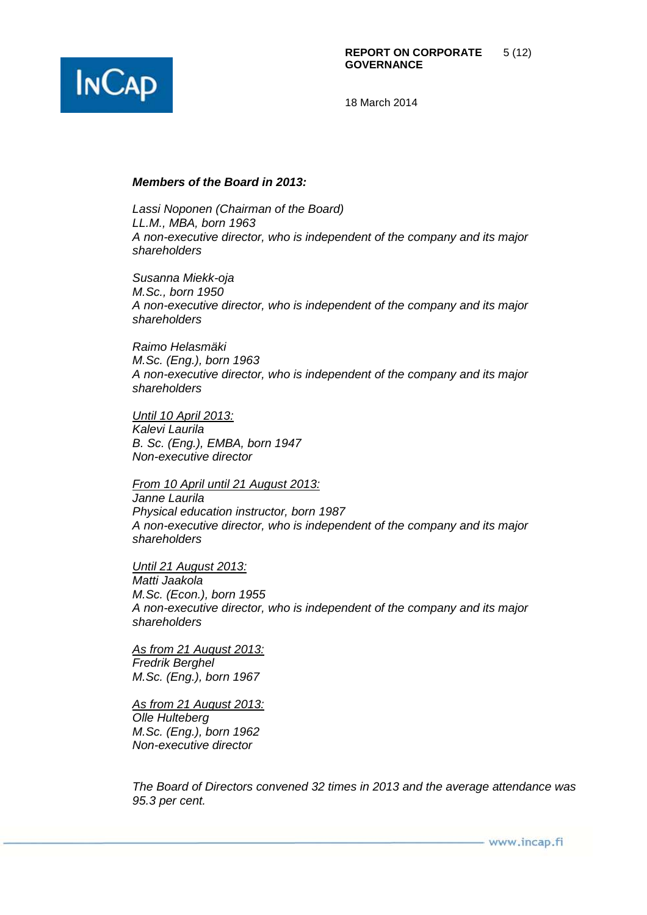

#### **Members of the Board in 2013:**

Lassi Noponen (Chairman of the Board) LL.M., MBA, born 1963 A non-executive director, who is independent of the company and its major shareholders

Susanna Miekk-oja M.Sc., born 1950 A non-executive director, who is independent of the company and its major shareholders

Raimo Helasmäki M.Sc. (Eng.), born 1963 A non-executive director, who is independent of the company and its major shareholders

Until 10 April 2013: Kalevi Laurila B. Sc. (Eng.), EMBA, born 1947 Non-executive director

From 10 April until 21 August 2013: Janne Laurila Physical education instructor, born 1987 A non-executive director, who is independent of the company and its major shareholders

Until 21 August 2013: Matti Jaakola M.Sc. (Econ.), born 1955 A non-executive director, who is independent of the company and its major shareholders

As from 21 August 2013: Fredrik Berghel M.Sc. (Eng.), born 1967

As from 21 August 2013: Olle Hulteberg M.Sc. (Eng.), born 1962 Non-executive director

The Board of Directors convened 32 times in 2013 and the average attendance was 95.3 per cent.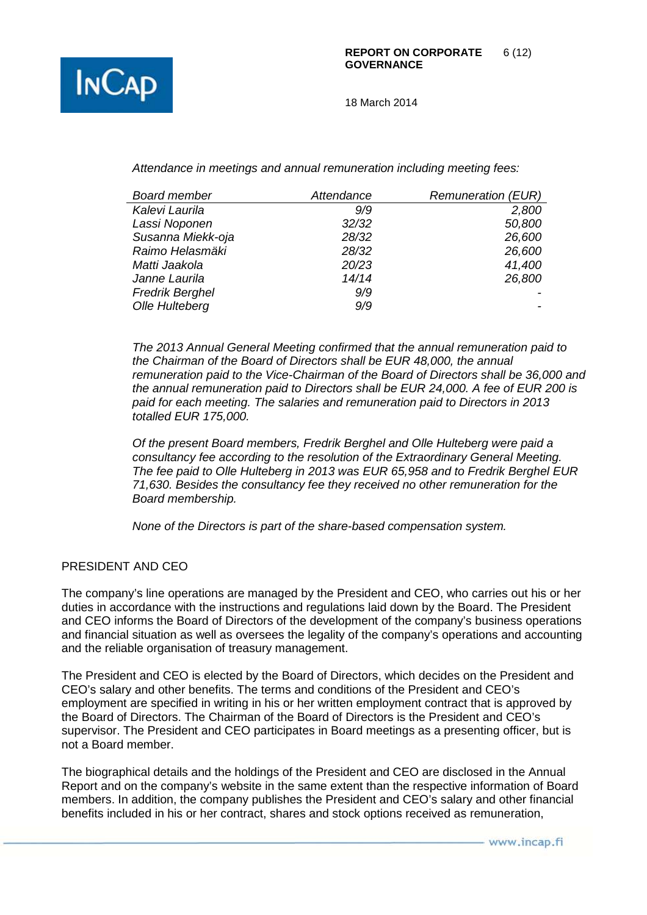

Attendance in meetings and annual remuneration including meeting fees:

| <b>Board member</b>    | Attendance | <b>Remuneration (EUR)</b> |
|------------------------|------------|---------------------------|
| Kalevi Laurila         | 9/9        | 2,800                     |
| Lassi Noponen          | 32/32      | 50,800                    |
| Susanna Miekk-oja      | 28/32      | 26,600                    |
| Raimo Helasmäki        | 28/32      | 26,600                    |
| Matti Jaakola          | 20/23      | 41,400                    |
| Janne Laurila          | 14/14      | 26,800                    |
| <b>Fredrik Berghel</b> | 9/9        |                           |
| Olle Hulteberg         | 9/9        |                           |

The 2013 Annual General Meeting confirmed that the annual remuneration paid to the Chairman of the Board of Directors shall be EUR 48,000, the annual remuneration paid to the Vice-Chairman of the Board of Directors shall be 36,000 and the annual remuneration paid to Directors shall be EUR 24,000. A fee of EUR 200 is paid for each meeting. The salaries and remuneration paid to Directors in 2013 totalled EUR 175,000.

Of the present Board members, Fredrik Berghel and Olle Hulteberg were paid a consultancy fee according to the resolution of the Extraordinary General Meeting. The fee paid to Olle Hulteberg in 2013 was EUR 65,958 and to Fredrik Berghel EUR 71,630. Besides the consultancy fee they received no other remuneration for the Board membership.

None of the Directors is part of the share-based compensation system.

### PRESIDENT AND CEO

The company's line operations are managed by the President and CEO, who carries out his or her duties in accordance with the instructions and regulations laid down by the Board. The President and CEO informs the Board of Directors of the development of the company's business operations and financial situation as well as oversees the legality of the company's operations and accounting and the reliable organisation of treasury management.

The President and CEO is elected by the Board of Directors, which decides on the President and CEO's salary and other benefits. The terms and conditions of the President and CEO's employment are specified in writing in his or her written employment contract that is approved by the Board of Directors. The Chairman of the Board of Directors is the President and CEO's supervisor. The President and CEO participates in Board meetings as a presenting officer, but is not a Board member.

The biographical details and the holdings of the President and CEO are disclosed in the Annual Report and on the company's website in the same extent than the respective information of Board members. In addition, the company publishes the President and CEO's salary and other financial benefits included in his or her contract, shares and stock options received as remuneration,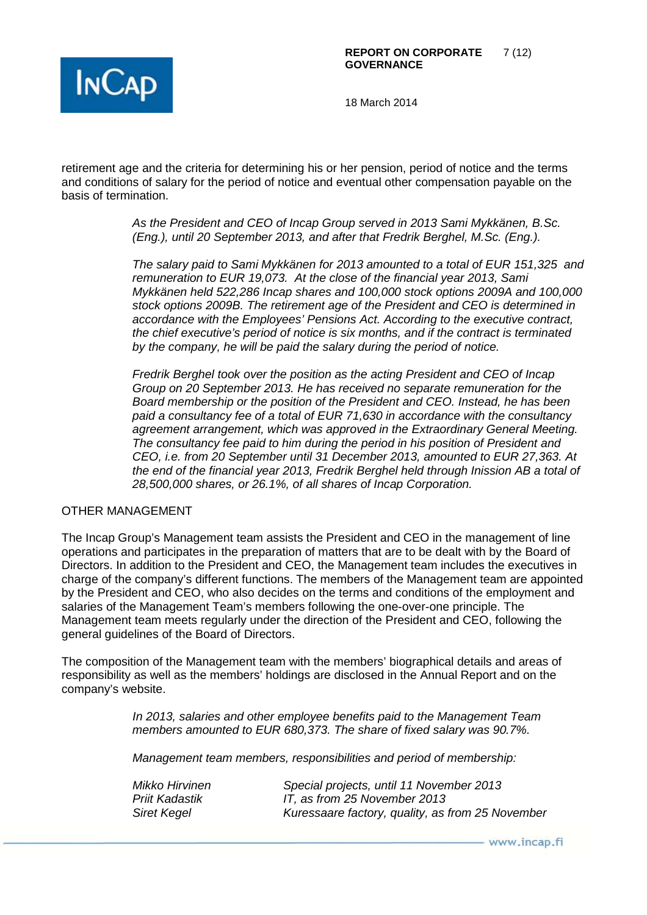

retirement age and the criteria for determining his or her pension, period of notice and the terms and conditions of salary for the period of notice and eventual other compensation payable on the basis of termination.

> As the President and CEO of Incap Group served in 2013 Sami Mykkänen, B.Sc. (Eng.), until 20 September 2013, and after that Fredrik Berghel, M.Sc. (Eng.).

The salary paid to Sami Mykkänen for 2013 amounted to a total of EUR 151,325 and remuneration to EUR 19,073. At the close of the financial year 2013, Sami Mykkänen held 522,286 Incap shares and 100,000 stock options 2009A and 100,000 stock options 2009B. The retirement age of the President and CEO is determined in accordance with the Employees' Pensions Act. According to the executive contract, the chief executive's period of notice is six months, and if the contract is terminated by the company, he will be paid the salary during the period of notice.

Fredrik Berghel took over the position as the acting President and CEO of Incap Group on 20 September 2013. He has received no separate remuneration for the Board membership or the position of the President and CEO. Instead, he has been paid a consultancy fee of a total of EUR 71,630 in accordance with the consultancy agreement arrangement, which was approved in the Extraordinary General Meeting. The consultancy fee paid to him during the period in his position of President and CEO, i.e. from 20 September until 31 December 2013, amounted to EUR 27,363. At the end of the financial year 2013, Fredrik Berghel held through Inission AB a total of 28,500,000 shares, or 26.1%, of all shares of Incap Corporation.

### OTHER MANAGEMENT

The Incap Group's Management team assists the President and CEO in the management of line operations and participates in the preparation of matters that are to be dealt with by the Board of Directors. In addition to the President and CEO, the Management team includes the executives in charge of the company's different functions. The members of the Management team are appointed by the President and CEO, who also decides on the terms and conditions of the employment and salaries of the Management Team's members following the one-over-one principle. The Management team meets regularly under the direction of the President and CEO, following the general guidelines of the Board of Directors.

The composition of the Management team with the members' biographical details and areas of responsibility as well as the members' holdings are disclosed in the Annual Report and on the company's website.

> In 2013, salaries and other employee benefits paid to the Management Team members amounted to EUR 680,373. The share of fixed salary was 90.7%.

Management team members, responsibilities and period of membership:

| Mikko Hirvinen | Special projects, until 11 November 2013         |
|----------------|--------------------------------------------------|
| Priit Kadastik | IT, as from 25 November 2013                     |
| Siret Kegel    | Kuressaare factory, quality, as from 25 November |

- www.incap.fi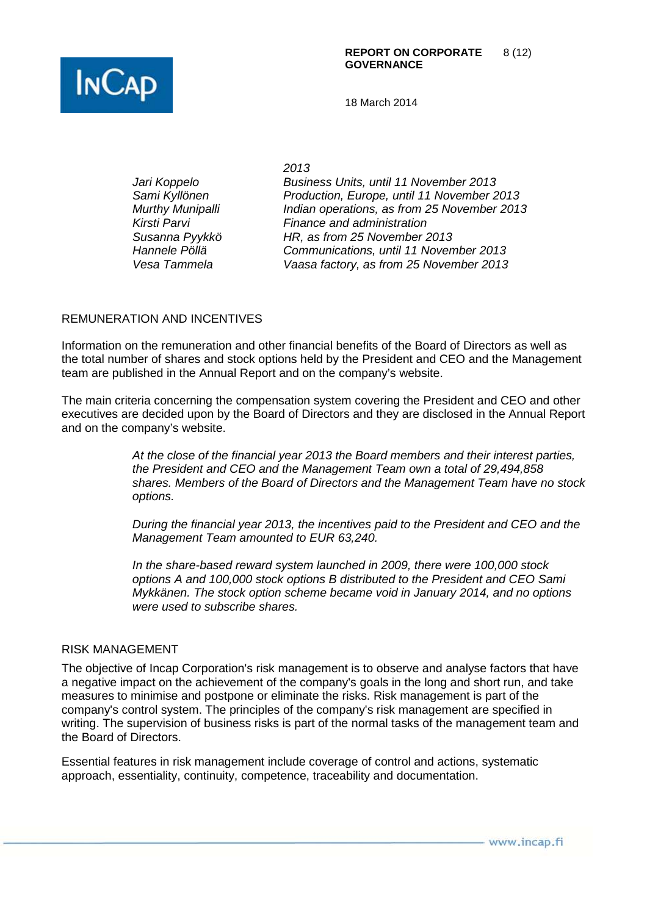2013 Jari Koppelo Business Units, until 11 November 2013 Sami Kyllönen Production, Europe, until 11 November 2013 Murthy Munipalli **Indian operations, as from 25 November 2013** Kirsti Parvi **Finance and administration** Susanna Pyykkö HR, as from 25 November 2013 Hannele Pöllä Communications, until 11 November 2013 Vesa Tammela Vaasa factory, as from 25 November 2013

## REMUNERATION AND INCENTIVES

Information on the remuneration and other financial benefits of the Board of Directors as well as the total number of shares and stock options held by the President and CEO and the Management team are published in the Annual Report and on the company's website.

The main criteria concerning the compensation system covering the President and CEO and other executives are decided upon by the Board of Directors and they are disclosed in the Annual Report and on the company's website.

> At the close of the financial year 2013 the Board members and their interest parties, the President and CEO and the Management Team own a total of 29,494,858 shares. Members of the Board of Directors and the Management Team have no stock options.

During the financial year 2013, the incentives paid to the President and CEO and the Management Team amounted to EUR 63,240.

In the share-based reward system launched in 2009, there were 100,000 stock options A and 100,000 stock options B distributed to the President and CEO Sami Mykkänen. The stock option scheme became void in January 2014, and no options were used to subscribe shares.

#### RISK MANAGEMENT

The objective of Incap Corporation's risk management is to observe and analyse factors that have a negative impact on the achievement of the company's goals in the long and short run, and take measures to minimise and postpone or eliminate the risks. Risk management is part of the company's control system. The principles of the company's risk management are specified in writing. The supervision of business risks is part of the normal tasks of the management team and the Board of Directors.

Essential features in risk management include coverage of control and actions, systematic approach, essentiality, continuity, competence, traceability and documentation.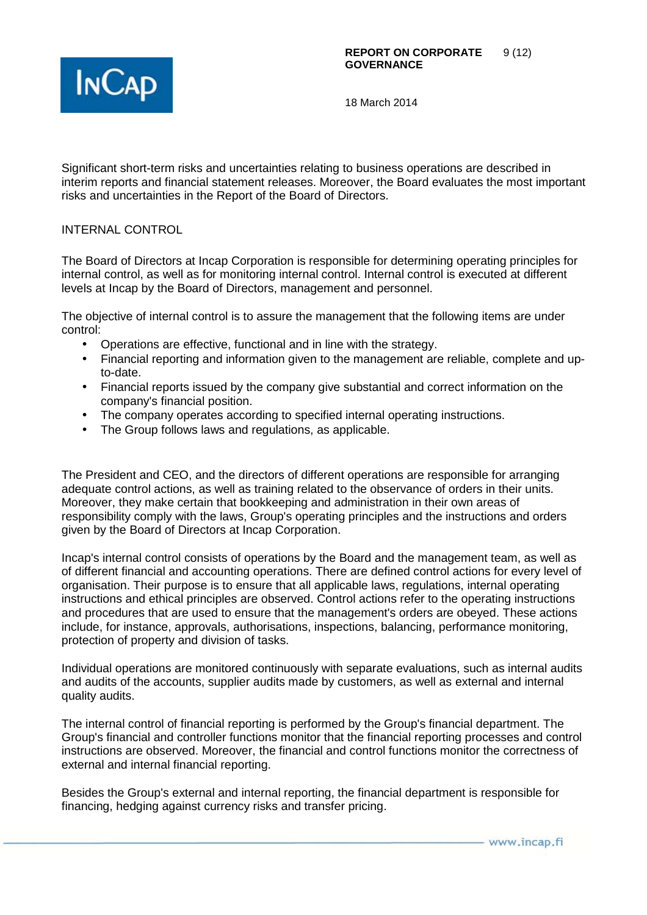

Significant short-term risks and uncertainties relating to business operations are described in interim reports and financial statement releases. Moreover, the Board evaluates the most important risks and uncertainties in the Report of the Board of Directors.

### INTERNAL CONTROL

The Board of Directors at Incap Corporation is responsible for determining operating principles for internal control, as well as for monitoring internal control. Internal control is executed at different levels at Incap by the Board of Directors, management and personnel.

The objective of internal control is to assure the management that the following items are under control:

- Operations are effective, functional and in line with the strategy.
- Financial reporting and information given to the management are reliable, complete and upto-date.
- Financial reports issued by the company give substantial and correct information on the company's financial position.
- The company operates according to specified internal operating instructions.
- The Group follows laws and regulations, as applicable.

The President and CEO, and the directors of different operations are responsible for arranging adequate control actions, as well as training related to the observance of orders in their units. Moreover, they make certain that bookkeeping and administration in their own areas of responsibility comply with the laws, Group's operating principles and the instructions and orders given by the Board of Directors at Incap Corporation.

Incap's internal control consists of operations by the Board and the management team, as well as of different financial and accounting operations. There are defined control actions for every level of organisation. Their purpose is to ensure that all applicable laws, regulations, internal operating instructions and ethical principles are observed. Control actions refer to the operating instructions and procedures that are used to ensure that the management's orders are obeyed. These actions include, for instance, approvals, authorisations, inspections, balancing, performance monitoring, protection of property and division of tasks.

Individual operations are monitored continuously with separate evaluations, such as internal audits and audits of the accounts, supplier audits made by customers, as well as external and internal quality audits.

The internal control of financial reporting is performed by the Group's financial department. The Group's financial and controller functions monitor that the financial reporting processes and control instructions are observed. Moreover, the financial and control functions monitor the correctness of external and internal financial reporting.

Besides the Group's external and internal reporting, the financial department is responsible for financing, hedging against currency risks and transfer pricing.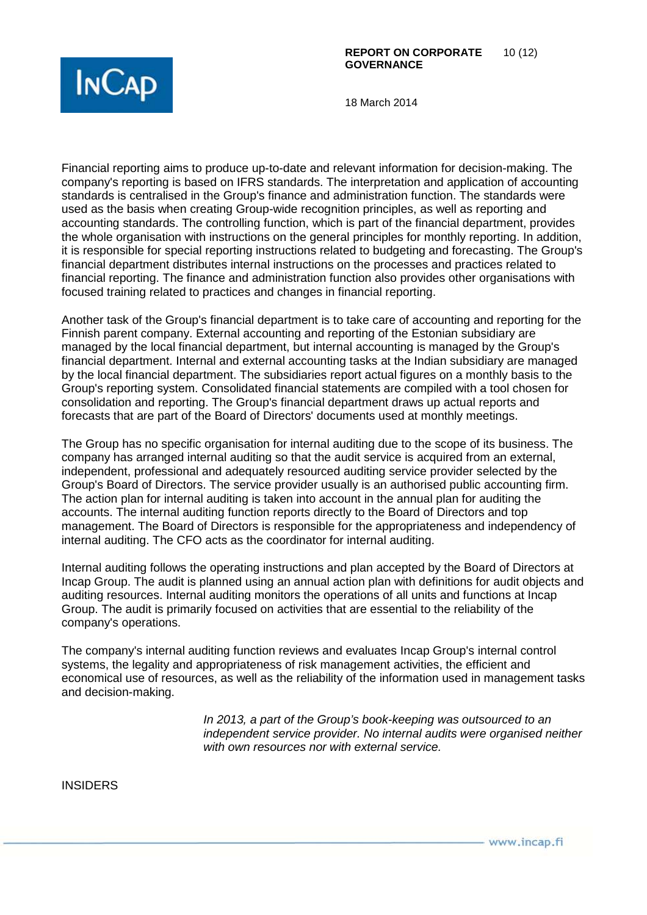

Financial reporting aims to produce up-to-date and relevant information for decision-making. The company's reporting is based on IFRS standards. The interpretation and application of accounting standards is centralised in the Group's finance and administration function. The standards were used as the basis when creating Group-wide recognition principles, as well as reporting and accounting standards. The controlling function, which is part of the financial department, provides the whole organisation with instructions on the general principles for monthly reporting. In addition, it is responsible for special reporting instructions related to budgeting and forecasting. The Group's financial department distributes internal instructions on the processes and practices related to financial reporting. The finance and administration function also provides other organisations with focused training related to practices and changes in financial reporting.

Another task of the Group's financial department is to take care of accounting and reporting for the Finnish parent company. External accounting and reporting of the Estonian subsidiary are managed by the local financial department, but internal accounting is managed by the Group's financial department. Internal and external accounting tasks at the Indian subsidiary are managed by the local financial department. The subsidiaries report actual figures on a monthly basis to the Group's reporting system. Consolidated financial statements are compiled with a tool chosen for consolidation and reporting. The Group's financial department draws up actual reports and forecasts that are part of the Board of Directors' documents used at monthly meetings.

The Group has no specific organisation for internal auditing due to the scope of its business. The company has arranged internal auditing so that the audit service is acquired from an external, independent, professional and adequately resourced auditing service provider selected by the Group's Board of Directors. The service provider usually is an authorised public accounting firm. The action plan for internal auditing is taken into account in the annual plan for auditing the accounts. The internal auditing function reports directly to the Board of Directors and top management. The Board of Directors is responsible for the appropriateness and independency of internal auditing. The CFO acts as the coordinator for internal auditing.

Internal auditing follows the operating instructions and plan accepted by the Board of Directors at Incap Group. The audit is planned using an annual action plan with definitions for audit objects and auditing resources. Internal auditing monitors the operations of all units and functions at Incap Group. The audit is primarily focused on activities that are essential to the reliability of the company's operations.

The company's internal auditing function reviews and evaluates Incap Group's internal control systems, the legality and appropriateness of risk management activities, the efficient and economical use of resources, as well as the reliability of the information used in management tasks and decision-making.

> In 2013, a part of the Group's book-keeping was outsourced to an independent service provider. No internal audits were organised neither with own resources nor with external service.

INSIDERS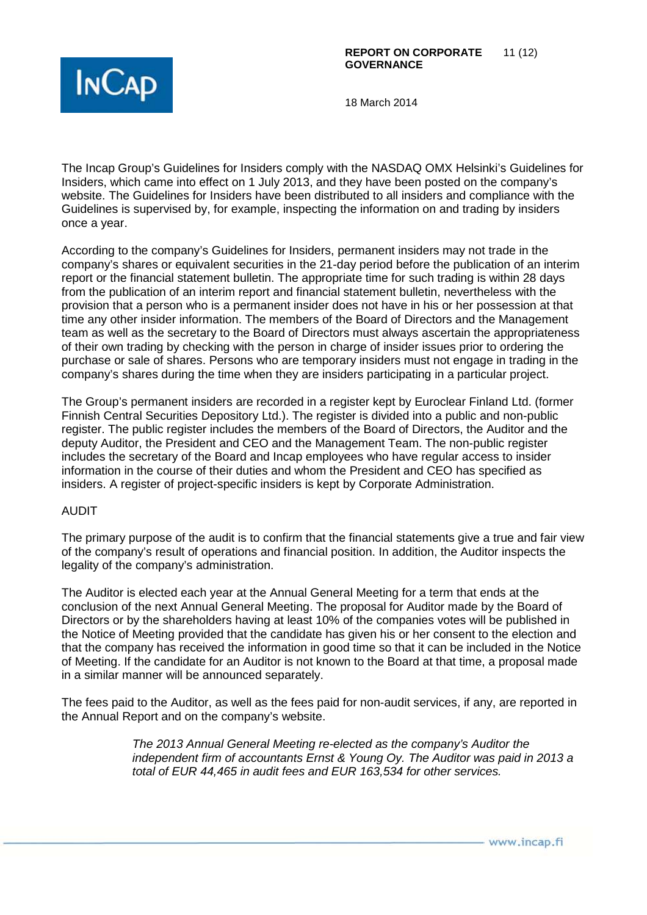

The Incap Group's Guidelines for Insiders comply with the NASDAQ OMX Helsinki's Guidelines for Insiders, which came into effect on 1 July 2013, and they have been posted on the company's website. The Guidelines for Insiders have been distributed to all insiders and compliance with the Guidelines is supervised by, for example, inspecting the information on and trading by insiders once a year.

According to the company's Guidelines for Insiders, permanent insiders may not trade in the company's shares or equivalent securities in the 21-day period before the publication of an interim report or the financial statement bulletin. The appropriate time for such trading is within 28 days from the publication of an interim report and financial statement bulletin, nevertheless with the provision that a person who is a permanent insider does not have in his or her possession at that time any other insider information. The members of the Board of Directors and the Management team as well as the secretary to the Board of Directors must always ascertain the appropriateness of their own trading by checking with the person in charge of insider issues prior to ordering the purchase or sale of shares. Persons who are temporary insiders must not engage in trading in the company's shares during the time when they are insiders participating in a particular project.

The Group's permanent insiders are recorded in a register kept by Euroclear Finland Ltd. (former Finnish Central Securities Depository Ltd.). The register is divided into a public and non-public register. The public register includes the members of the Board of Directors, the Auditor and the deputy Auditor, the President and CEO and the Management Team. The non-public register includes the secretary of the Board and Incap employees who have regular access to insider information in the course of their duties and whom the President and CEO has specified as insiders. A register of project-specific insiders is kept by Corporate Administration.

### AUDIT

The primary purpose of the audit is to confirm that the financial statements give a true and fair view of the company's result of operations and financial position. In addition, the Auditor inspects the legality of the company's administration.

The Auditor is elected each year at the Annual General Meeting for a term that ends at the conclusion of the next Annual General Meeting. The proposal for Auditor made by the Board of Directors or by the shareholders having at least 10% of the companies votes will be published in the Notice of Meeting provided that the candidate has given his or her consent to the election and that the company has received the information in good time so that it can be included in the Notice of Meeting. If the candidate for an Auditor is not known to the Board at that time, a proposal made in a similar manner will be announced separately.

The fees paid to the Auditor, as well as the fees paid for non-audit services, if any, are reported in the Annual Report and on the company's website.

> The 2013 Annual General Meeting re-elected as the company's Auditor the independent firm of accountants Ernst & Young Oy. The Auditor was paid in 2013 a total of EUR 44,465 in audit fees and EUR 163,534 for other services.